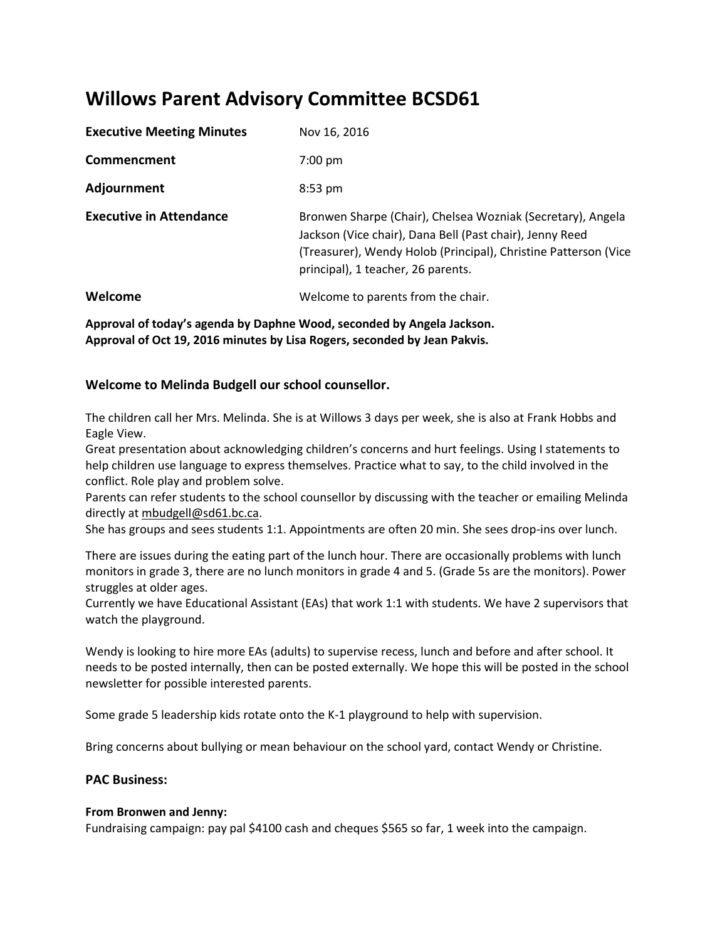# **Willows Parent Advisory Committee BCSD61**

| <b>Executive Meeting Minutes</b> | Nov 16, 2016                                                                                                                                                                                                                     |
|----------------------------------|----------------------------------------------------------------------------------------------------------------------------------------------------------------------------------------------------------------------------------|
| Commencment                      | $7:00 \text{ pm}$                                                                                                                                                                                                                |
| Adjournment                      | $8:53 \text{ pm}$                                                                                                                                                                                                                |
| <b>Executive in Attendance</b>   | Bronwen Sharpe (Chair), Chelsea Wozniak (Secretary), Angela<br>Jackson (Vice chair), Dana Bell (Past chair), Jenny Reed<br>(Treasurer), Wendy Holob (Principal), Christine Patterson (Vice<br>principal), 1 teacher, 26 parents. |
| Welcome                          | Welcome to parents from the chair.                                                                                                                                                                                               |

**Approval of today's agenda by Daphne Wood, seconded by Angela Jackson. Approval of Oct 19, 2016 minutes by Lisa Rogers, seconded by Jean Pakvis.**

# **Welcome to Melinda Budgell our school counsellor.**

The children call her Mrs. Melinda. She is at Willows 3 days per week, she is also at Frank Hobbs and Eagle View.

Great presentation about acknowledging children's concerns and hurt feelings. Using I statements to help children use language to express themselves. Practice what to say, to the child involved in the conflict. Role play and problem solve.

Parents can refer students to the school counsellor by discussing with the teacher or emailing Melinda directly at mbudgell@sd61.bc.ca.

She has groups and sees students 1:1. Appointments are often 20 min. She sees drop-ins over lunch.

There are issues during the eating part of the lunch hour. There are occasionally problems with lunch monitors in grade 3, there are no lunch monitors in grade 4 and 5. (Grade 5s are the monitors). Power struggles at older ages.

Currently we have Educational Assistant (EAs) that work 1:1 with students. We have 2 supervisors that watch the playground.

Wendy is looking to hire more EAs (adults) to supervise recess, lunch and before and after school. It needs to be posted internally, then can be posted externally. We hope this will be posted in the school newsletter for possible interested parents.

Some grade 5 leadership kids rotate onto the K-1 playground to help with supervision.

Bring concerns about bullying or mean behaviour on the school yard, contact Wendy or Christine.

# **PAC Business:**

## **From Bronwen and Jenny:**

Fundraising campaign: pay pal \$4100 cash and cheques \$565 so far, 1 week into the campaign.